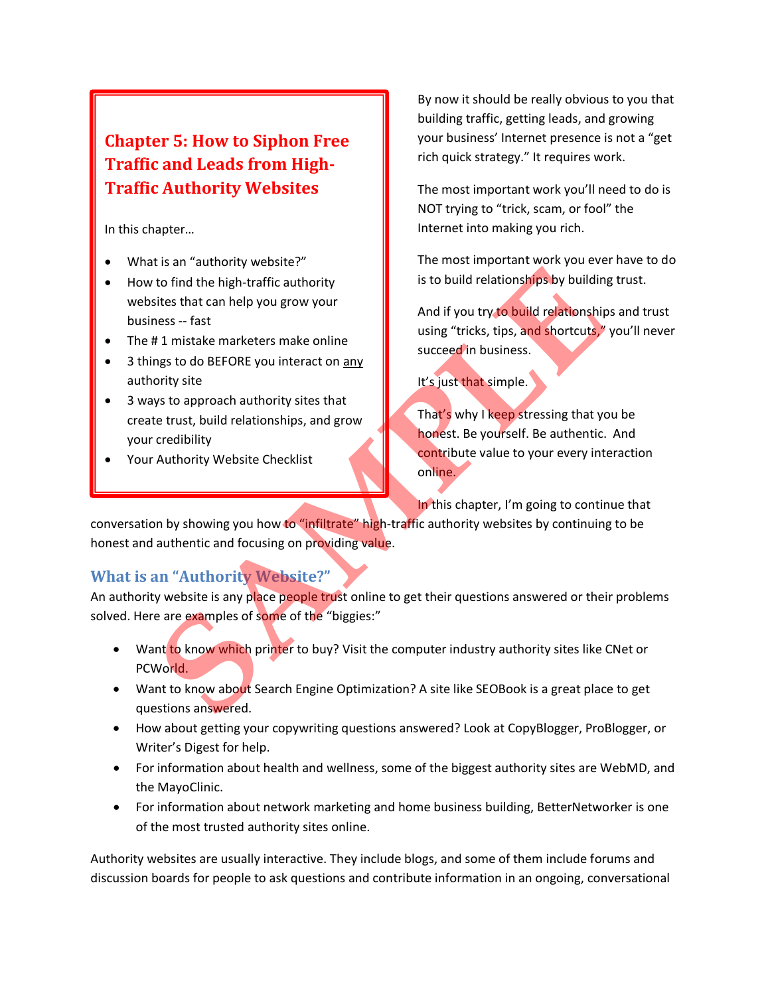# **Chapter 5: How to Siphon Free Traffic and Leads from High-Traffic Authority Websites**

In this chapter…

- What is an "authority website?"
- How to find the high-traffic authority websites that can help you grow your business -- fast
- The #1 mistake marketers make online
- 3 things to do BEFORE you interact on any authority site
- 3 ways to approach authority sites that create trust, build relationships, and grow your credibility
- Your Authority Website Checklist

By now it should be really obvious to you that building traffic, getting leads, and growing your business' Internet presence is not a "get rich quick strategy." It requires work.

The most important work you'll need to do is NOT trying to "trick, scam, or fool" the Internet into making you rich.

The most important work you ever have to do is to build relationships by building trust.

And if you try to build relationships and trust using "tricks, tips, and shortcuts," you'll never succeed in business.

It's just that simple.

That's why I keep stressing that you be honest. Be yourself. Be authentic. And contribute value to your every interaction online.

In this chapter, I'm going to continue that

conversation by showing you how to "infiltrate" high-traffic authority websites by continuing to be honest and authentic and focusing on providing value. For the total of the the strengthend when the primitive state of the the strengthend of the strengthend of the strengthend of the trust, build relationships by building the dentity and if you try to build relationships and

## **What is an "Authority Website?"**

An authority website is any place people trust online to get their questions answered or their problems solved. Here are examples of some of the "biggies:"

- Want to know which printer to buy? Visit the computer industry authority sites like CNet or PCWorld.
- Want to know about Search Engine Optimization? A site like SEOBook is a great place to get questions answered.
- How about getting your copywriting questions answered? Look at CopyBlogger, ProBlogger, or Writer's Digest for help.
- For information about health and wellness, some of the biggest authority sites are WebMD, and the MayoClinic.
- For information about network marketing and home business building, BetterNetworker is one of the most trusted authority sites online.

Authority websites are usually interactive. They include blogs, and some of them include forums and discussion boards for people to ask questions and contribute information in an ongoing, conversational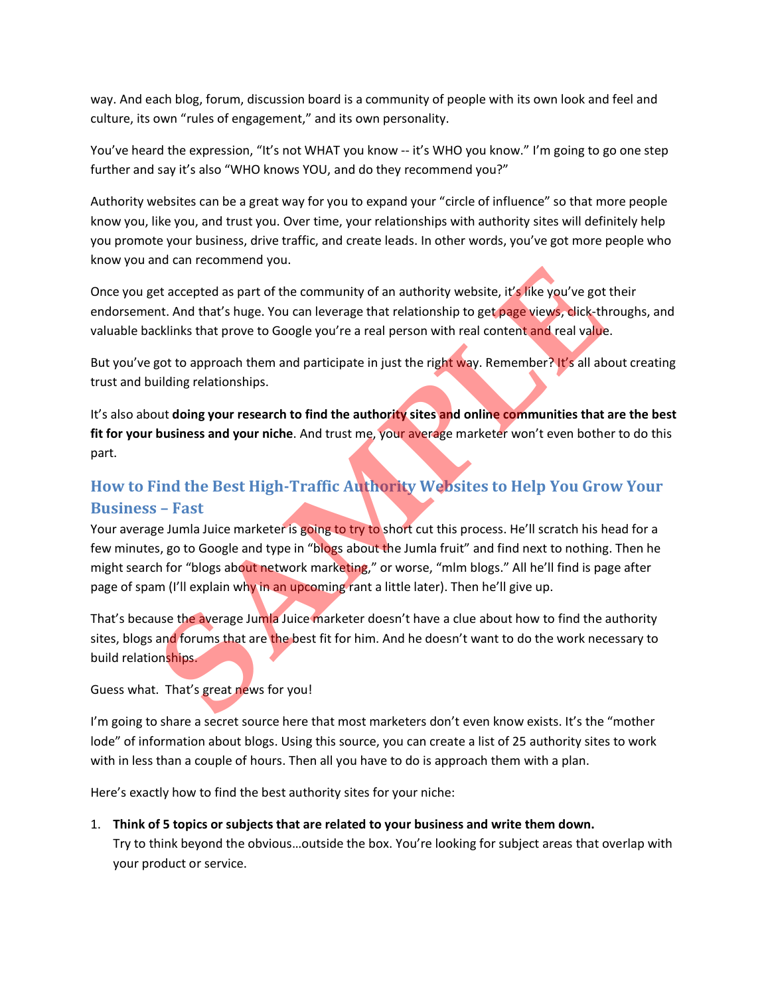way. And each blog, forum, discussion board is a community of people with its own look and feel and culture, its own "rules of engagement," and its own personality.

You've heard the expression, "It's not WHAT you know -- it's WHO you know." I'm going to go one step further and say it's also "WHO knows YOU, and do they recommend you?"

Authority websites can be a great way for you to expand your "circle of influence" so that more people know you, like you, and trust you. Over time, your relationships with authority sites will definitely help you promote your business, drive traffic, and create leads. In other words, you've got more people who know you and can recommend you.

Once you get accepted as part of the community of an authority website, it's like you've got their endorsement. And that's huge. You can leverage that relationship to get page views, click-throughs, and valuable backlinks that prove to Google you're a real person with real content and real value.

But you've got to approach them and participate in just the right way. Remember? It's all about creating trust and building relationships.

It's also about **doing your research to find the authority sites and online communities that are the best fit for your business and your niche**. And trust me, your average marketer won't even bother to do this part.

# **How to Find the Best High-Traffic Authority Websites to Help You Grow Your Business – Fast**

Your average Jumla Juice marketer is going to try to short cut this process. He'll scratch his head for a few minutes, go to Google and type in "blogs about the Jumla fruit" and find next to nothing. Then he might search for "blogs about network marketing," or worse, "mlm blogs." All he'll find is page after page of spam (I'll explain why in an upcoming rant a little later). Then he'll give up. et accepted as part of the community of an authority website, it's like you've got<br>the And that's huge. You can leverage that relationship to get page views, dick-the<br>klinks that prove to Google you're a real person with r

That's because the average Jumla Juice marketer doesn't have a clue about how to find the authority sites, blogs and forums that are the best fit for him. And he doesn't want to do the work necessary to build relationships.

Guess what. That's great news for you!

I'm going to share a secret source here that most marketers don't even know exists. It's the "mother lode" of information about blogs. Using this source, you can create a list of 25 authority sites to work with in less than a couple of hours. Then all you have to do is approach them with a plan.

Here's exactly how to find the best authority sites for your niche:

1. **Think of 5 topics or subjects that are related to your business and write them down.**  Try to think beyond the obvious…outside the box. You're looking for subject areas that overlap with your product or service.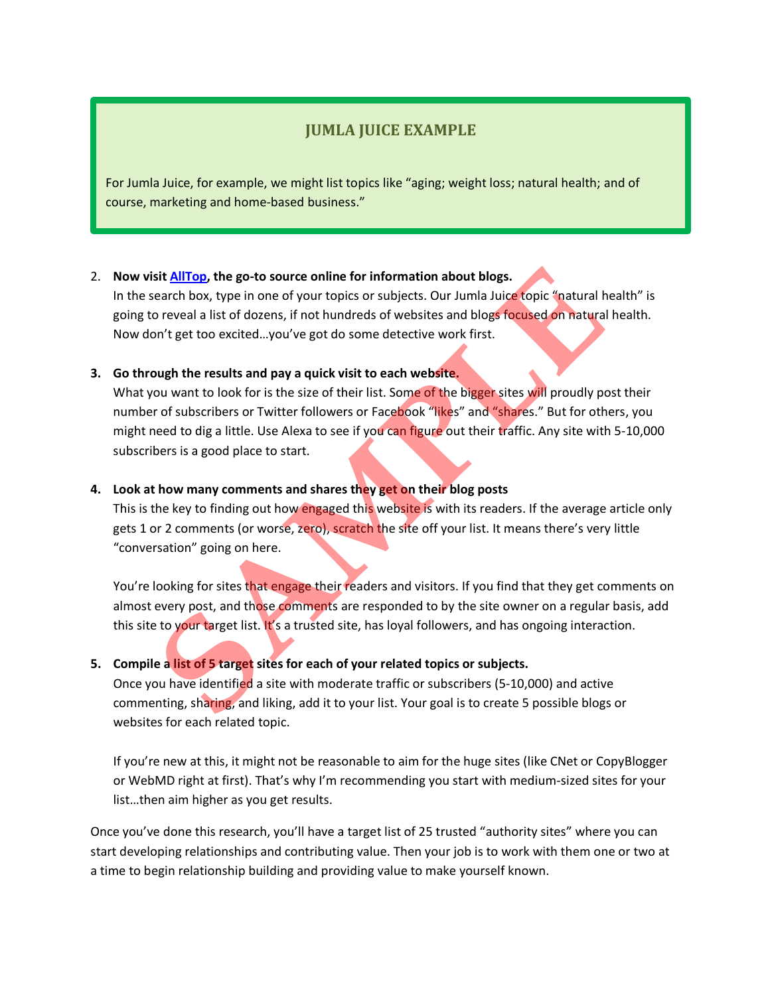## **JUMLA JUICE EXAMPLE**

For Jumla Juice, for example, we might list topics like "aging; weight loss; natural health; and of course, marketing and home-based business."

### 2. **Now visit AllTop, the go-to source online for information about blogs.**

In the search box, type in one of your topics or subjects. Our Jumla Juice topic "natural health" is going to reveal a list of dozens, if not hundreds of websites and blogs focused on natural health. Now don't get too excited…you've got do some detective work first.

### **3. Go through the results and pay a quick visit to each website.**

What you want to look for is the size of their list. Some of the bigger sites will proudly post their number of subscribers or Twitter followers or Facebook "likes" and "shares." But for others, you might need to dig a little. Use Alexa to see if you can figure out their traffic. Any site with 5-10,000 subscribers is a good place to start. sit <u>AllTop</u>, the go-to source online for information about blogs.<br>
earch box, type in one of your topics or subjects. Our Jumla Juice copic "natural<br>
or eveal a list of dozens, if not hundreds of websites and blogs focuse

#### **4. Look at how many comments and shares they get on their blog posts**

This is the key to finding out how engaged this website is with its readers. If the average article only gets 1 or 2 comments (or worse, zero), scratch the site off your list. It means there's very little "conversation" going on here.

You're looking for sites that engage their readers and visitors. If you find that they get comments on almost every post, and those comments are responded to by the site owner on a regular basis, add this site to your target list. It's a trusted site, has loyal followers, and has ongoing interaction.

#### **5. Compile a list of 5 target sites for each of your related topics or subjects.**

Once you have identified a site with moderate traffic or subscribers (5-10,000) and active commenting, sharing, and liking, add it to your list. Your goal is to create 5 possible blogs or websites for each related topic.

If you're new at this, it might not be reasonable to aim for the huge sites (like CNet or CopyBlogger or WebMD right at first). That's why I'm recommending you start with medium-sized sites for your list…then aim higher as you get results.

Once you've done this research, you'll have a target list of 25 trusted "authority sites" where you can start developing relationships and contributing value. Then your job is to work with them one or two at a time to begin relationship building and providing value to make yourself known.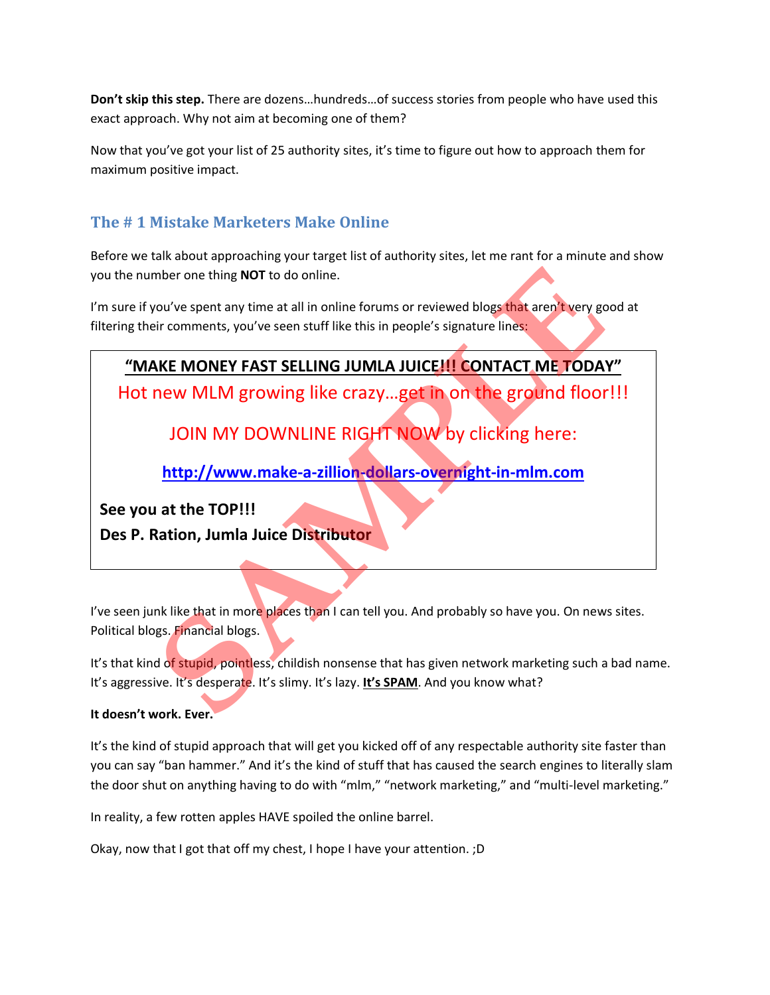**Don't skip this step.** There are dozens…hundreds…of success stories from people who have used this exact approach. Why not aim at becoming one of them?

Now that you've got your list of 25 authority sites, it's time to figure out how to approach them for maximum positive impact.

## **The # 1 Mistake Marketers Make Online**

Before we talk about approaching your target list of authority sites, let me rant for a minute and show you the number one thing **NOT** to do online.

I'm sure if you've spent any time at all in online forums or reviewed blogs that aren't very good at filtering their comments, you've seen stuff like this in people's signature lines:

# **"MAKE MONEY FAST SELLING JUMLA JUICE!!! CONTACT ME TODAY"**

Hot new MLM growing like crazy…get in on the ground floor!!!

JOIN MY DOWNLINE RIGHT NOW by clicking here:

**http://www.make-a-zillion-dollars-overnight-in-mlm.com**

**See you at the TOP!!!**

**Des P. Ration, Jumla Juice Distributor**

I've seen junk like that in more places than I can tell you. And probably so have you. On news sites. Political blogs. Financial blogs.

It's that kind of stupid, pointless, childish nonsense that has given network marketing such a bad name. It's aggressive. It's desperate. It's slimy. It's lazy. It's SPAM. And you know what? mber one thing NOT to do online.<br>
You've spent any time at all in online forums or reviewed blogs that aren't very go<br>
Fir comments, you've seen stuff like this in people's signature lines:<br> **SAKE MONEY FAST SELLING JUMLA** 

### **It doesn't work. Ever.**

It's the kind of stupid approach that will get you kicked off of any respectable authority site faster than you can say "ban hammer." And it's the kind of stuff that has caused the search engines to literally slam the door shut on anything having to do with "mlm," "network marketing," and "multi-level marketing."

In reality, a few rotten apples HAVE spoiled the online barrel.

Okay, now that I got that off my chest, I hope I have your attention. ;D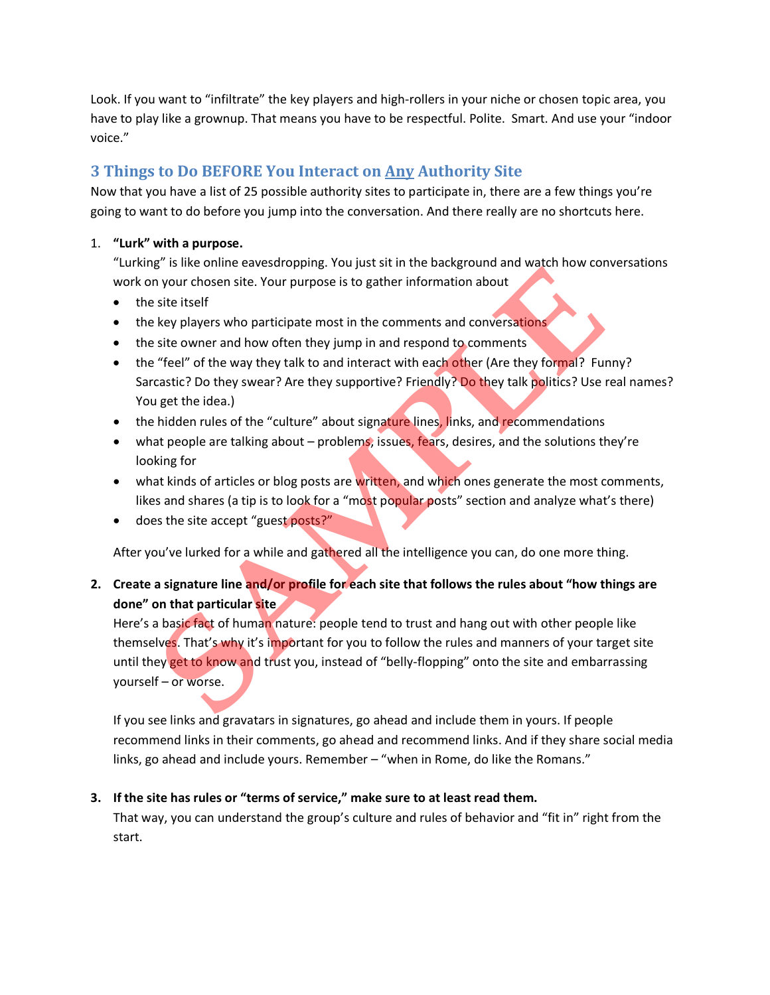Look. If you want to "infiltrate" the key players and high-rollers in your niche or chosen topic area, you have to play like a grownup. That means you have to be respectful. Polite. Smart. And use your "indoor voice."

## **3 Things to Do BEFORE You Interact on Any Authority Site**

Now that you have a list of 25 possible authority sites to participate in, there are a few things you're going to want to do before you jump into the conversation. And there really are no shortcuts here.

### 1. **"Lurk" with a purpose.**

"Lurking" is like online eavesdropping. You just sit in the background and watch how conversations work on your chosen site. Your purpose is to gather information about

- the site itself
- the key players who participate most in the comments and conversations
- the site owner and how often they jump in and respond to comments
- the "feel" of the way they talk to and interact with each other (Are they formal? Funny? Sarcastic? Do they swear? Are they supportive? Friendly? Do they talk politics? Use real names? You get the idea.)
- the hidden rules of the "culture" about signature lines, links, and recommendations
- what people are talking about problems, issues, fears, desires, and the solutions they're looking for
- what kinds of articles or blog posts are written, and which ones generate the most comments, likes and shares (a tip is to look for a "most popular posts" section and analyze what's there)
- does the site accept "guest posts?"

After you've lurked for a while and gathered all the intelligence you can, do one more thing.

### **2. Create a signature line and/or profile for each site that follows the rules about "how things are done" on that particular site**

Here's a basic fact of human nature: people tend to trust and hang out with other people like themselves. That's why it's important for you to follow the rules and manners of your target site until they get to know and trust you, instead of "belly-flopping" onto the site and embarrassing yourself – or worse. **Show that the consideration and participates** and the studies. That is why it's underturnation and transmission and the studies of the team of the studies of the team of the studies of the studies of the studies of the wa

If you see links and gravatars in signatures, go ahead and include them in yours. If people recommend links in their comments, go ahead and recommend links. And if they share social media links, go ahead and include yours. Remember – "when in Rome, do like the Romans."

### **3. If the site has rules or "terms of service," make sure to at least read them.**

That way, you can understand the group's culture and rules of behavior and "fit in" right from the start.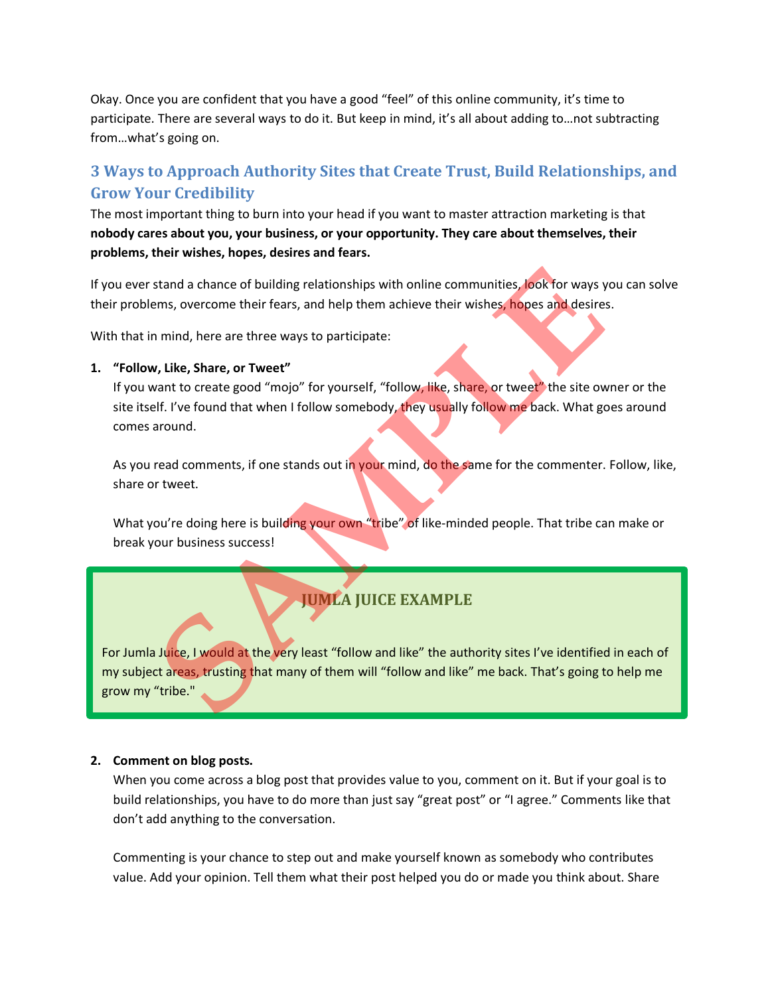Okay. Once you are confident that you have a good "feel" of this online community, it's time to participate. There are several ways to do it. But keep in mind, it's all about adding to…not subtracting from…what's going on.

## **3 Ways to Approach Authority Sites that Create Trust, Build Relationships, and Grow Your Credibility**

The most important thing to burn into your head if you want to master attraction marketing is that **nobody cares about you, your business, or your opportunity. They care about themselves, their problems, their wishes, hopes, desires and fears.**

If you ever stand a chance of building relationships with online communities, look for ways you can solve their problems, overcome their fears, and help them achieve their wishes, hopes and desires.

With that in mind, here are three ways to participate:

### **1. "Follow, Like, Share, or Tweet"**

If you want to create good "mojo" for yourself, "follow, like, share, or tweet" the site owner or the site itself. I've found that when I follow somebody, they usually follow me back. What goes around comes around.

As you read comments, if one stands out in your mind, do the same for the commenter. Follow, like, share or tweet.

What you're doing here is building your own "tribe" of like-minded people. That tribe can make or break your business success!

# **JUMLA JUICE EXAMPLE**

For Jumla Juice, I would at the very least "follow and like" the authority sites I've identified in each of my subject areas, trusting that many of them will "follow and like" me back. That's going to help me grow my "tribe." stand a chance of building relationships with online communities, look for ways y<br>ems, overcome their fears, and help them achieve their wishes, hopes and desires<br>in mind, here are three ways to participate:<br>with the are t

### **2. Comment on blog posts.**

When you come across a blog post that provides value to you, comment on it. But if your goal is to build relationships, you have to do more than just say "great post" or "I agree." Comments like that don't add anything to the conversation.

Commenting is your chance to step out and make yourself known as somebody who contributes value. Add your opinion. Tell them what their post helped you do or made you think about. Share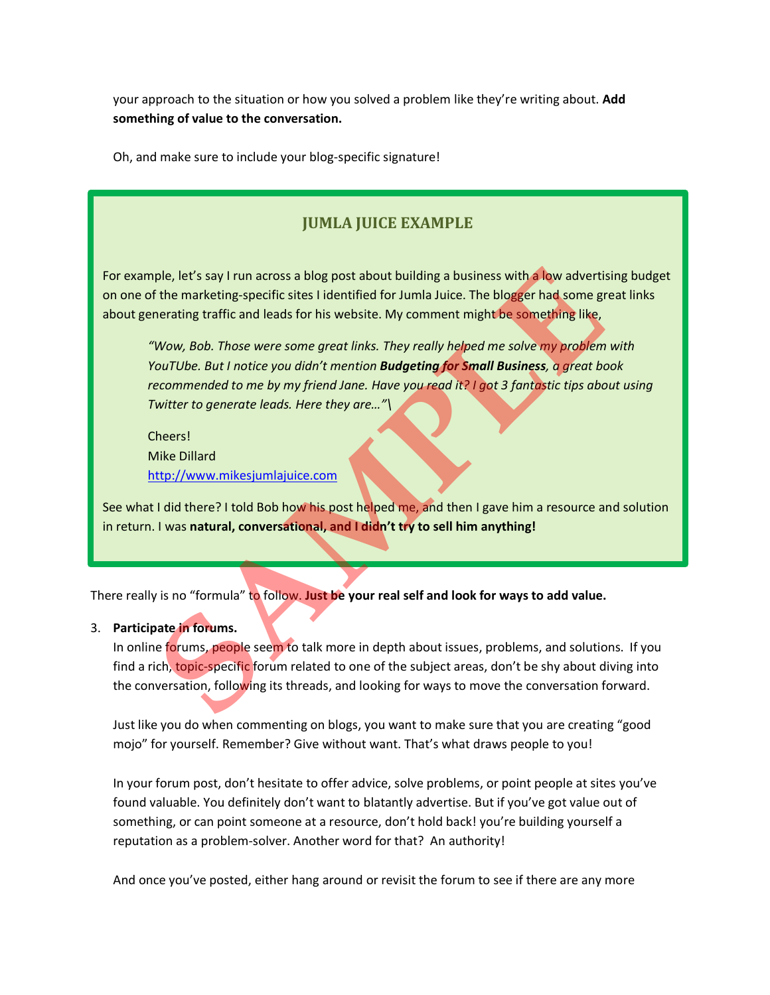your approach to the situation or how you solved a problem like they're writing about. **Add something of value to the conversation.**

Oh, and make sure to include your blog-specific signature!

## **JUMLA JUICE EXAMPLE**

For example, let's say I run across a blog post about building a business with a low advertising budget on one of the marketing-specific sites I identified for Jumla Juice. The blogger had some great links about generating traffic and leads for his website. My comment might be something like,

*"Wow, Bob. Those were some great links. They really helped me solve my problem with YouTUbe. But I notice you didn't mention Budgeting for Small Business, a great book recommended to me by my friend Jane. Have you read it? I got 3 fantastic tips about using Twitter to generate leads. Here they are…"\*  **ple, let's say I run across a blog post about building a business with a low advertiser the marketing-specific sites I identified for Jumla Juice. The blogger had some greating traffic and leads for his website. [M](http://www.mikesjumlajuice.com/)y commen** 

Cheers! Mike Dillard http://www.mikesjumlajuice.com

See what I did there? I told Bob how his post helped me, and then I gave him a resource and solution in return. I was **natural, conversational, and I didn't try to sell him anything!**

There really is no "formula" to follow. Just be your real self and look for ways to add value.

### 3. **Participate in forums.**

In online forums, people seem to talk more in depth about issues, problems, and solutions. If you find a rich, topic-specific forum related to one of the subject areas, don't be shy about diving into the conversation, following its threads, and looking for ways to move the conversation forward.

Just like you do when commenting on blogs, you want to make sure that you are creating "good mojo" for yourself. Remember? Give without want. That's what draws people to you!

In your forum post, don't hesitate to offer advice, solve problems, or point people at sites you've found valuable. You definitely don't want to blatantly advertise. But if you've got value out of something, or can point someone at a resource, don't hold back! you're building yourself a reputation as a problem-solver. Another word for that? An authority!

And once you've posted, either hang around or revisit the forum to see if there are any more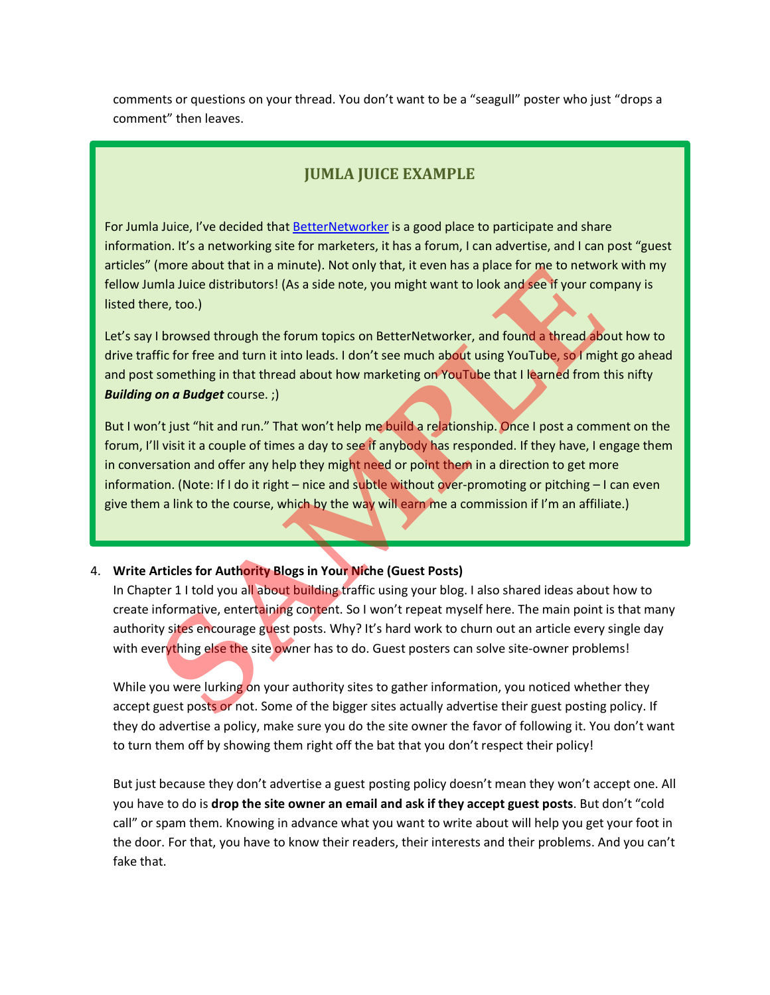comments or questions on your thread. You don't want to be a "seagull" poster who just "drops a comment" then leaves.

### **JUMLA JUICE EXAMPLE**

For Jumla Juice, I've decided that [BetterNetworker](http://betternetworker.com/) is a good place to participate and share information. It's a networking site for marketers, it has a forum, I can advertise, and I can post "guest articles" (more about that in a minute). Not only that, it even has a place for me to network with my fellow Jumla Juice distributors! (As a side note, you might want to look and see if your company is listed there, too.)

Let's say I browsed through the forum topics on BetterNetworker, and found a thread about how to drive traffic for free and turn it into leads. I don't see much about using YouTube, so I might go ahead and post something in that thread about how marketing on YouTube that I learned from this nifty *Building on a Budget* course. ;)

But I won't just "hit and run." That won't help me build a relationship. Once I post a comment on the forum, I'll visit it a couple of times a day to see if anybody has responded. If they have, I engage them in conversation and offer any help they might need or point them in a direction to get more information. (Note: If I do it right – nice and subtle without over-promoting or pitching – I can even give them a link to the course, which by the way will earn me a commission if I'm an affiliate.) (mie about that in a minitale). Not only that, it even has a place for the to nee two<br>final Juice distributors! (As a side note, you might want to look and see if your cor-<br>re, too.)<br>**I** browsed through the forum topics on

### 4. **Write Articles for Authority Blogs in Your Niche (Guest Posts)**

In Chapter 1 I told you all about building traffic using your blog. I also shared ideas about how to create informative, entertaining content. So I won't repeat myself here. The main point is that many authority sites encourage guest posts. Why? It's hard work to churn out an article every single day with everything else the site owner has to do. Guest posters can solve site-owner problems!

While you were lurking on your authority sites to gather information, you noticed whether they accept guest posts or not. Some of the bigger sites actually advertise their guest posting policy. If they do advertise a policy, make sure you do the site owner the favor of following it. You don't want to turn them off by showing them right off the bat that you don't respect their policy!

But just because they don't advertise a guest posting policy doesn't mean they won't accept one. All you have to do is **drop the site owner an email and ask if they accept guest posts**. But don't "cold call" or spam them. Knowing in advance what you want to write about will help you get your foot in the door. For that, you have to know their readers, their interests and their problems. And you can't fake that.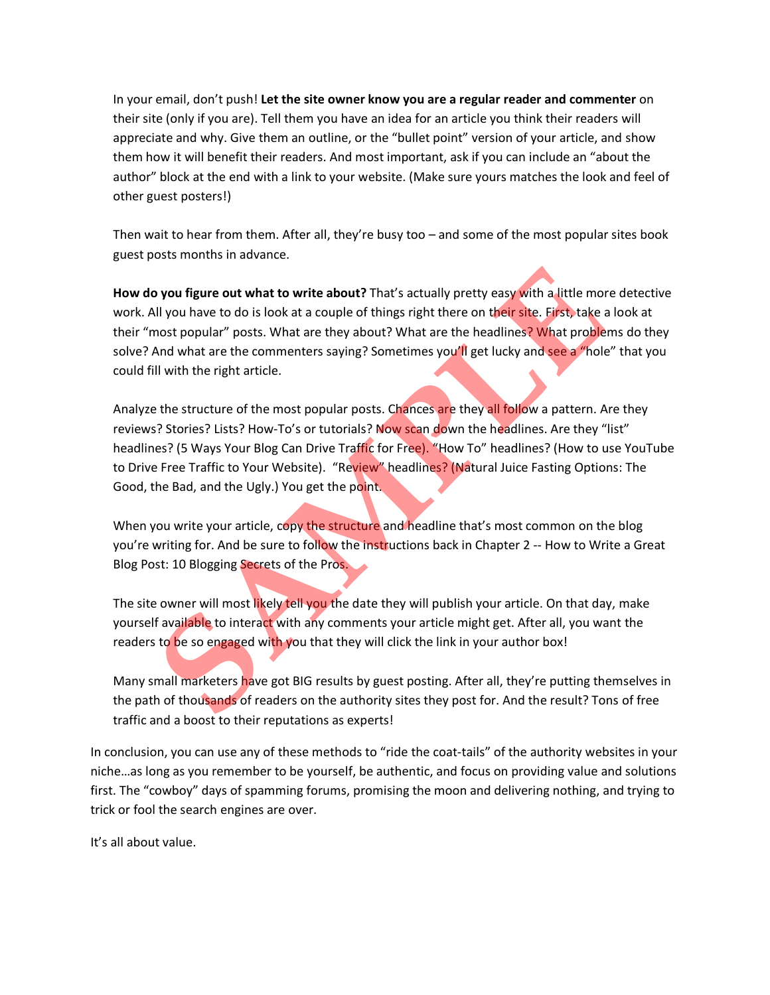In your email, don't push! **Let the site owner know you are a regular reader and commenter** on their site (only if you are). Tell them you have an idea for an article you think their readers will appreciate and why. Give them an outline, or the "bullet point" version of your article, and show them how it will benefit their readers. And most important, ask if you can include an "about the author" block at the end with a link to your website. (Make sure yours matches the look and feel of other guest posters!)

Then wait to hear from them. After all, they're busy too – and some of the most popular sites book guest posts months in advance.

**How do you figure out what to write about?** That's actually pretty easy with a little more detective work. All you have to do is look at a couple of things right there on their site. First, take a look at their "most popular" posts. What are they about? What are the headlines? What problems do they solve? And what are the commenters saying? Sometimes you'll get lucky and see a "hole" that you could fill with the right article. **Solution** Syou figure out what to write about? That's actually pretty easy with a little moon the sulf of things right there on their site. First, take anot popular" posts. What are they about? What are the headlines? Wha

Analyze the structure of the most popular posts. Chances are they all follow a pattern. Are they reviews? Stories? Lists? How-To's or tutorials? Now scan down the headlines. Are they "list" headlines? (5 Ways Your Blog Can Drive Traffic for Free). "How To" headlines? (How to use YouTube to Drive Free Traffic to Your Website). "Review" headlines? (Natural Juice Fasting Options: The Good, the Bad, and the Ugly.) You get the point.

When you write your article, copy the structure and headline that's most common on the blog you're writing for. And be sure to follow the instructions back in Chapter 2 -- How to Write a Great Blog Post: 10 Blogging Secrets of the Pros.

The site owner will most likely tell you the date they will publish your article. On that day, make yourself available to interact with any comments your article might get. After all, you want the readers to be so engaged with you that they will click the link in your author box!

Many small marketers have got BIG results by guest posting. After all, they're putting themselves in the path of thousands of readers on the authority sites they post for. And the result? Tons of free traffic and a boost to their reputations as experts!

In conclusion, you can use any of these methods to "ride the coat-tails" of the authority websites in your niche…as long as you remember to be yourself, be authentic, and focus on providing value and solutions first. The "cowboy" days of spamming forums, promising the moon and delivering nothing, and trying to trick or fool the search engines are over.

It's all about value.